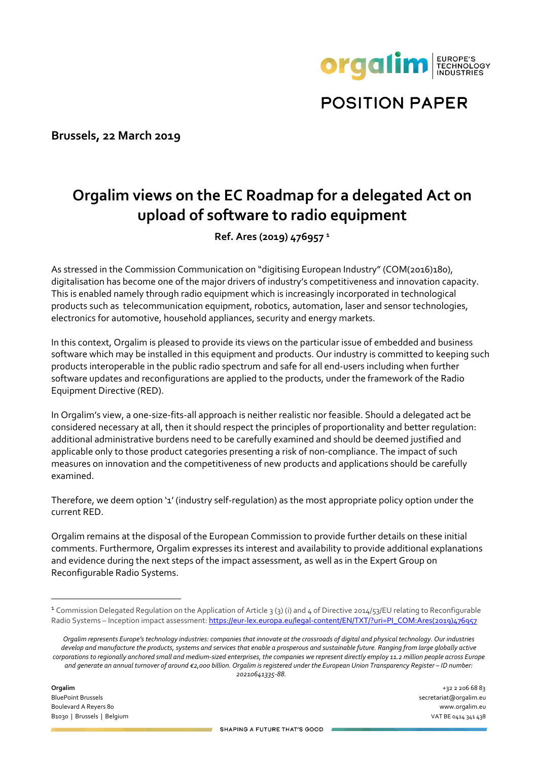

**POSITION PAPER** 

**Brussels, 22 March 2019**

# **Orgalim views on the EC Roadmap for a delegated Act on upload of software to radio equipment**

**Ref. Ares (2019) 476957 <sup>1</sup>**

As stressed in the Commission Communication on "digitising European Industry" (COM(2016)180), digitalisation has become one of the major drivers of industry's competitiveness and innovation capacity. This is enabled namely through radio equipment which is increasingly incorporated in technological products such as telecommunication equipment, robotics, automation, laser and sensor technologies, electronics for automotive, household appliances, security and energy markets.

In this context, Orgalim is pleased to provide its views on the particular issue of embedded and business software which may be installed in this equipment and products. Our industry is committed to keeping such products interoperable in the public radio spectrum and safe for all end-users including when further software updates and reconfigurations are applied to the products, under the framework of the Radio Equipment Directive (RED).

In Orgalim's view, a one-size-fits-all approach is neither realistic nor feasible. Should a delegated act be considered necessary at all, then it should respect the principles of proportionality and better regulation: additional administrative burdens need to be carefully examined and should be deemed justified and applicable only to those product categories presenting a risk of non-compliance. The impact of such measures on innovation and the competitiveness of new products and applications should be carefully examined.

Therefore, we deem option '1' (industry self-regulation) as the most appropriate policy option under the current RED.

Orgalim remains at the disposal of the European Commission to provide further details on these initial comments. Furthermore, Orgalim expresses its interest and availability to provide additional explanations and evidence during the next steps of the impact assessment, as well as in the Expert Group on Reconfigurable Radio Systems.

**Orgalim** +32 2 206 68 83 BluePoint Brussels secretariat@orgalim.eu Boulevard A Reyers 80 www.orgalim.eu B1030 | Brussels | Belgium VAT BE 0414 341 438

<sup>1</sup> Commission Delegated Regulation on the Application of Article 3 (3) (i) and 4 of Directive 2014/53/EU relating to Reconfigurable Radio Systems – Inception impact assessment: [https://eur-lex.europa.eu/legal-content/EN/TXT/?uri=PI\\_COM:Ares\(2019\)476957](https://eur-lex.europa.eu/legal-content/EN/TXT/?uri=PI_COM:Ares(2019)476957)

*Orgalim represents Europe's technology industries: companies that innovate at the crossroads of digital and physical technology. Our industries develop and manufacture the products, systems and services that enable a prosperous and sustainable future. Ranging from large globally active corporations to regionally anchored small and medium-sized enterprises, the companies we represent directly employ 11.2 million people across Europe and generate an annual turnover of around €2,000 billion. Orgalim is registered under the European Union Transparency Register – ID number: 20210641335-88.*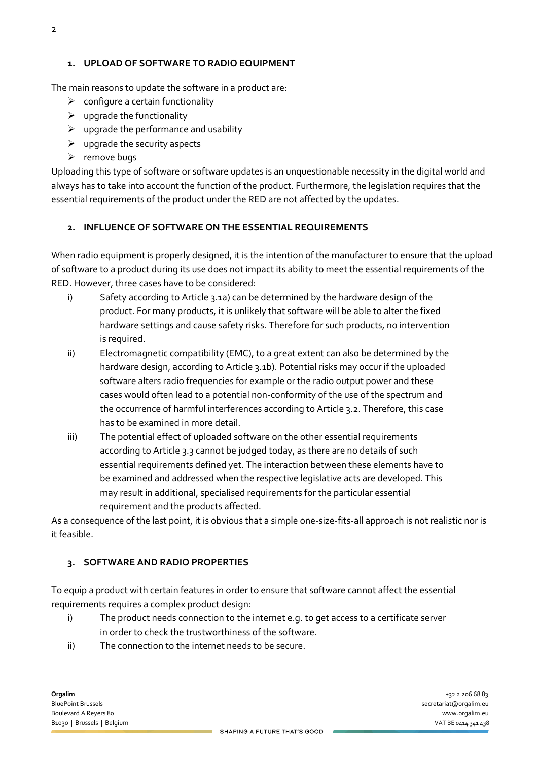#### **1. UPLOAD OF SOFTWARE TO RADIO EQUIPMENT**

The main reasons to update the software in a product are:

- $\triangleright$  configure a certain functionality
- $\triangleright$  upgrade the functionality
- $\triangleright$  upgrade the performance and usability
- $\triangleright$  upgrade the security aspects
- $\triangleright$  remove bugs

Uploading this type of software or software updates is an unquestionable necessity in the digital world and always has to take into account the function of the product. Furthermore, the legislation requires that the essential requirements of the product under the RED are not affected by the updates.

#### **2. INFLUENCE OF SOFTWARE ON THE ESSENTIAL REQUIREMENTS**

When radio equipment is properly designed, it is the intention of the manufacturer to ensure that the upload of software to a product during its use does not impact its ability to meet the essential requirements of the RED. However, three cases have to be considered:

- i) Safety according to Article 3.1a) can be determined by the hardware design of the product. For many products, it is unlikely that software will be able to alter the fixed hardware settings and cause safety risks. Therefore for such products, no intervention is required.
- ii) Electromagnetic compatibility (EMC), to a great extent can also be determined by the hardware design, according to Article 3.1b). Potential risks may occur if the uploaded software alters radio frequencies for example or the radio output power and these cases would often lead to a potential non-conformity of the use of the spectrum and the occurrence of harmful interferences according to Article 3.2. Therefore, this case has to be examined in more detail.
- iii) The potential effect of uploaded software on the other essential requirements according to Article 3.3 cannot be judged today, as there are no details of such essential requirements defined yet. The interaction between these elements have to be examined and addressed when the respective legislative acts are developed. This may result in additional, specialised requirements for the particular essential requirement and the products affected.

As a consequence of the last point, it is obvious that a simple one-size-fits-all approach is not realistic nor is it feasible.

#### **3. SOFTWARE AND RADIO PROPERTIES**

To equip a product with certain features in order to ensure that software cannot affect the essential requirements requires a complex product design:

- i) The product needs connection to the internet e.g. to get access to a certificate server in order to check the trustworthiness of the software.
- ii) The connection to the internet needs to be secure.